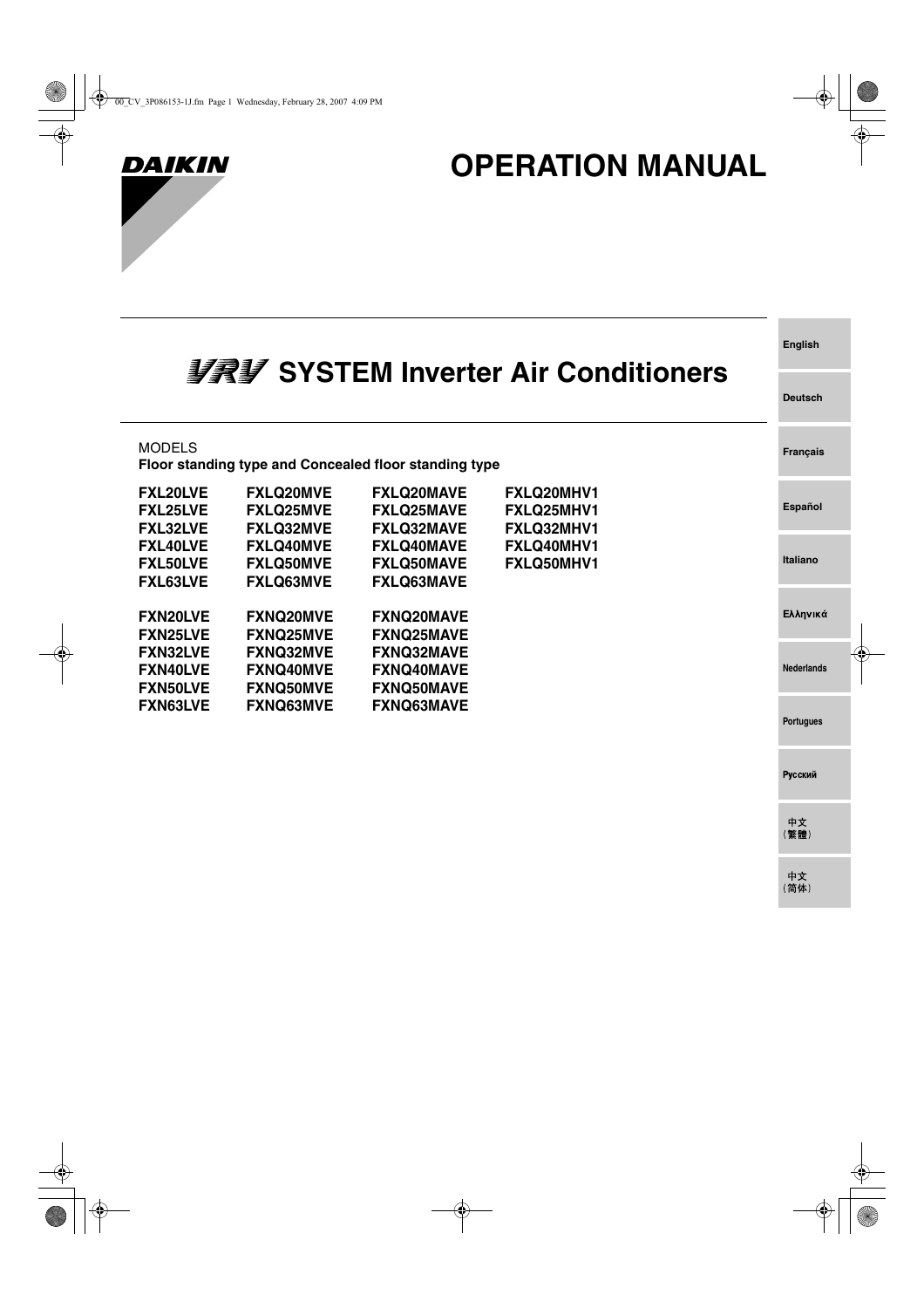

 $\overline{\phantom{a}}$ 

# **OPERATION MANUAL**

**English**

**Deutsch**

Русский

中文<br>(繁體)

中文<br>(简体)

| <b>多字多 SYSTEM Inverter Air Conditioners</b> |  |  |
|---------------------------------------------|--|--|
|---------------------------------------------|--|--|

| <b>MODELS</b>                                         |                                                          | Floor standing type and Concealed floor standing type       |                                                      | <b>Français</b>   |  |
|-------------------------------------------------------|----------------------------------------------------------|-------------------------------------------------------------|------------------------------------------------------|-------------------|--|
| <b>FXL20LVE</b><br><b>FXL25LVE</b><br><b>FXL32LVE</b> | <b>FXLQ20MVE</b><br><b>FXLQ25MVE</b><br><b>FXLQ32MVE</b> | <b>FXLQ20MAVE</b><br><b>FXLQ25MAVE</b><br><b>FXLQ32MAVE</b> | <b>FXLQ20MHV1</b><br><b>FXLQ25MHV1</b><br>FXLQ32MHV1 | Español           |  |
| <b>FXL40LVE</b><br><b>FXL50LVE</b><br><b>FXL63LVE</b> | <b>FXLQ40MVE</b><br><b>FXLQ50MVE</b><br><b>FXLQ63MVE</b> | <b>FXLQ40MAVE</b><br><b>FXLQ50MAVE</b><br><b>FXLQ63MAVE</b> | <b>FXLQ40MHV1</b><br>FXLQ50MHV1                      | Italiano          |  |
| <b>FXN20LVE</b><br><b>FXN25LVE</b>                    | <b>FXNQ20MVE</b><br><b>FXNQ25MVE</b>                     | <b>FXNQ20MAVE</b><br><b>FXNQ25MAVE</b>                      |                                                      | Ελληνικά          |  |
| <b>FXN32LVE</b><br><b>FXN40LVE</b><br><b>FXN50LVE</b> | <b>FXNQ32MVE</b><br><b>FXNQ40MVE</b><br><b>FXNQ50MVE</b> | <b>FXNQ32MAVE</b><br><b>FXNQ40MAVE</b><br><b>FXNQ50MAVE</b> |                                                      | <b>Nederlands</b> |  |
| <b>FXN63LVE</b>                                       | <b>FXNQ63MVE</b>                                         | <b>FXNQ63MAVE</b>                                           |                                                      | <b>Portugues</b>  |  |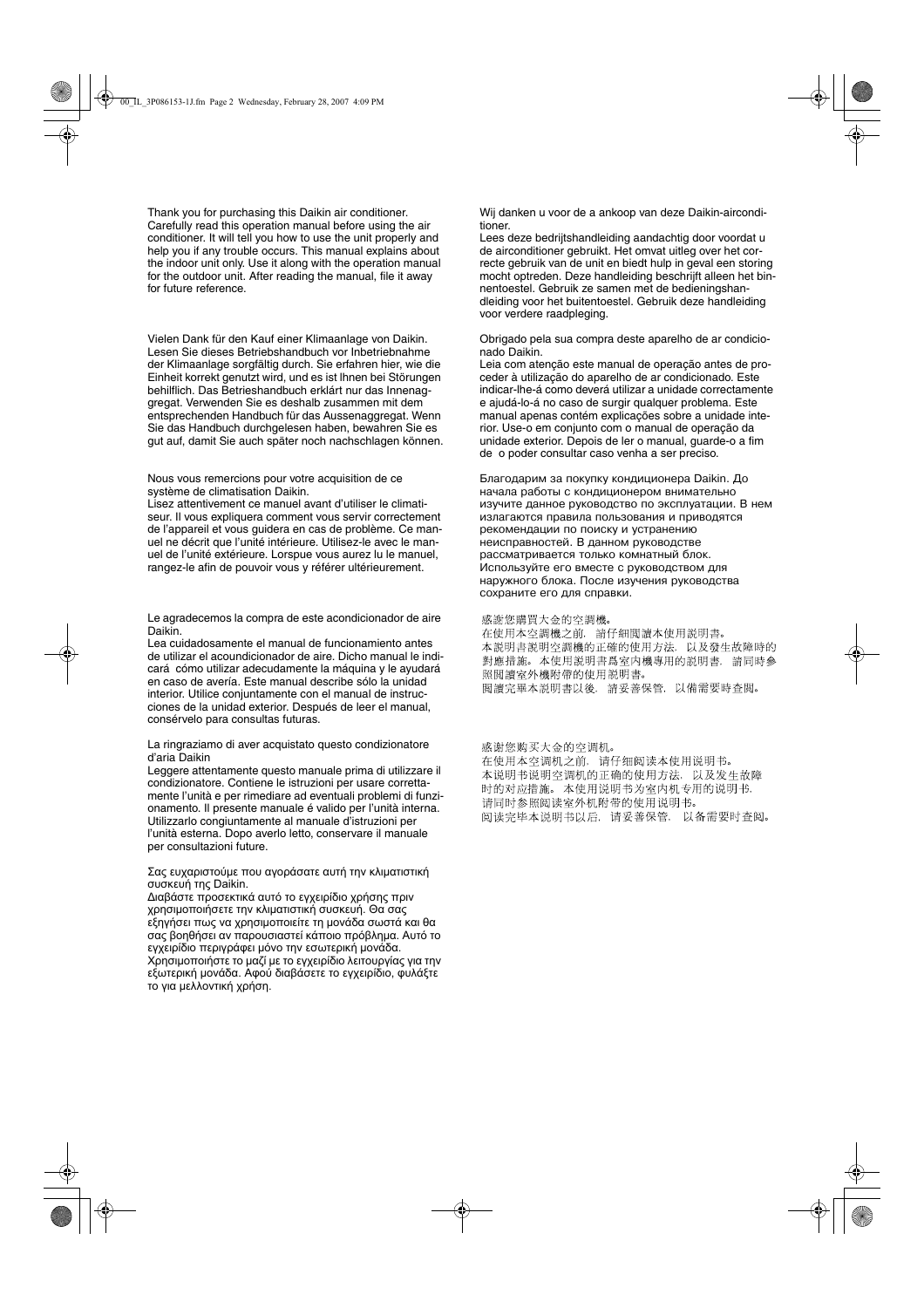Thank you for purchasing this Daikin air conditioner. Carefully read this operation manual before using the air conditioner. It will tell you how to use the unit properly and help you if any trouble occurs. This manual explains about the indoor unit only. Use it along with the operation manual for the outdoor unit. After reading the manual, file it away for future reference.

Vielen Dank für den Kauf einer Klimaanlage von Daikin. Lesen Sie dieses Betriebshandbuch vor Inbetriebnahme der Klimaanlage sorgfältig durch. Sie erfahren hier, wie die Einheit korrekt genutzt wird, und es ist lhnen bei Störungen behilflich. Das Betrieshandbuch erklárt nur das Innenaggregat. Verwenden Sie es deshalb zusammen mit dem entsprechenden Handbuch für das Aussenaggregat. Wenn Sie das Handbuch durchgelesen haben, bewahren Sie es gut auf, damit Sie auch später noch nachschlagen können.

Nous vous remercions pour votre acquisition de ce système de climatisation Daikin.

Lisez attentivement ce manuel avant d'utiliser le climatiseur. Il vous expliquera comment vous servir correctement de l'appareil et vous guidera en cas de problème. Ce manuel ne décrit que l'unité intérieure. Utilisez-le avec le manuel de l'unité extérieure. Lorspue vous aurez lu le manuel, rangez-le afin de pouvoir vous y référer ultérieurement.

Le agradecemos la compra de este acondicionador de aire Daikin.

Lea cuidadosamente el manual de funcionamiento antes de utilizar el acoundicionador de aire. Dicho manual le indicará cómo utilizar adecudamente la máquina y le ayudará en caso de avería. Este manual describe sólo la unidad interior. Utilice conjuntamente con el manual de instrucciones de la unidad exterior. Después de leer el manual, consérvelo para consultas futuras.

#### La ringraziamo di aver acquistato questo condizionatore d'aria Daikin

Leggere attentamente questo manuale prima di utilizzare il condizionatore. Contiene le istruzioni per usare correttamente l'unità e per rimediare ad eventuali problemi di funzionamento. Il presente manuale é valido per l'unità interna. Utilizzarlo congiuntamente al manuale d'istruzioni per l'unità esterna. Dopo averlo letto, conservare il manuale per consultazioni future.

#### Σας ευχαριστούμε που αγοράσατε αυτή την κλιματιστική συσκευή της Daikin.

Διαβάστε προσεκτικά αυτό το εγχειρίδιο χρήσης πριν χρησιμοποιήσετε την κλιματιστική συσκευή. Θα σας εξηγήσει πως να χρησιμοποιείτε τη μονάδα σωστά και θα σας βοηθήσει αν παρουσιαστεί κάποιο πρόβλημα. Αυτό το εγχειρίδιο περιγράφει μόνο την εσωτερική μονάδα. Χρησιμοποιήστε το μαζί με το εγχειρίδιο λειτουργίας για την εξωτερική μονάδα. Αφού διαβάσετε το εγχειρίδιο, φυλάξτε το για μελλοντική χρήση.

Wij danken u voor de a ankoop van deze Daikin-airconditioner.

Lees deze bedrijtshandleiding aandachtig door voordat u de airconditioner gebruikt. Het omvat uitleg over het correcte gebruik van de unit en biedt hulp in geval een storing mocht optreden. Deze handleiding beschrijft alleen het binnentoestel. Gebruik ze samen met de bedieningshandleiding voor het buitentoestel. Gebruik deze handleiding voor verdere raadpleging.

Obrigado pela sua compra deste aparelho de ar condicionado Daikin.

Leia com atenção este manual de operação antes de proceder à utilização do aparelho de ar condicionado. Este indicar-lhe-á como deverá utilizar a unidade correctamente e ajudá-lo-á no caso de surgir qualquer problema. Este manual apenas contém explicações sobre a unidade interior. Use-o em conjunto com o manual de operação da unidade exterior. Depois de ler o manual, guarde-o a fim de o poder consultar caso venha a ser preciso.

Благодарим за покупку кондиционера Daikin. До начала работы с кондиционером внимательно изучите данное руководство по эксплуатации. В нем излагаются правила пользования и приводятся рекомендации по поиску и устранению неисправностей. В данном руководстве рассматривается только комнатный блок. Используйте его вместе с руководством для наружного блока. После изучения руководства сохраните его для справки.

#### 感謝您購買大金的空調機。

在使用本空調機之前,請仔細閱讀本使用説明書。 本説明書説明空調機的正確的使用方法, 以及發生故障時的 對應措施。本使用説明書爲室内機專用的説明書,請同時參 照閱讀室外機附帶的使用説明書。 閲讀完畢本説明書以後,請妥善保管,以備需要時查閲。

#### 感谢您购买大金的空调机。

在使用本空调机之前, 请仔细阅读本使用说明书。 本说明书说明空调机的正确的使用方法, 以及发生故障 时的对应措施。本使用说明书为室内机专用的说明书, 请同时参照阅读室外机附带的使用说明书。 阅读完毕本说明书以后, 请妥善保管, 以备需要时查阅。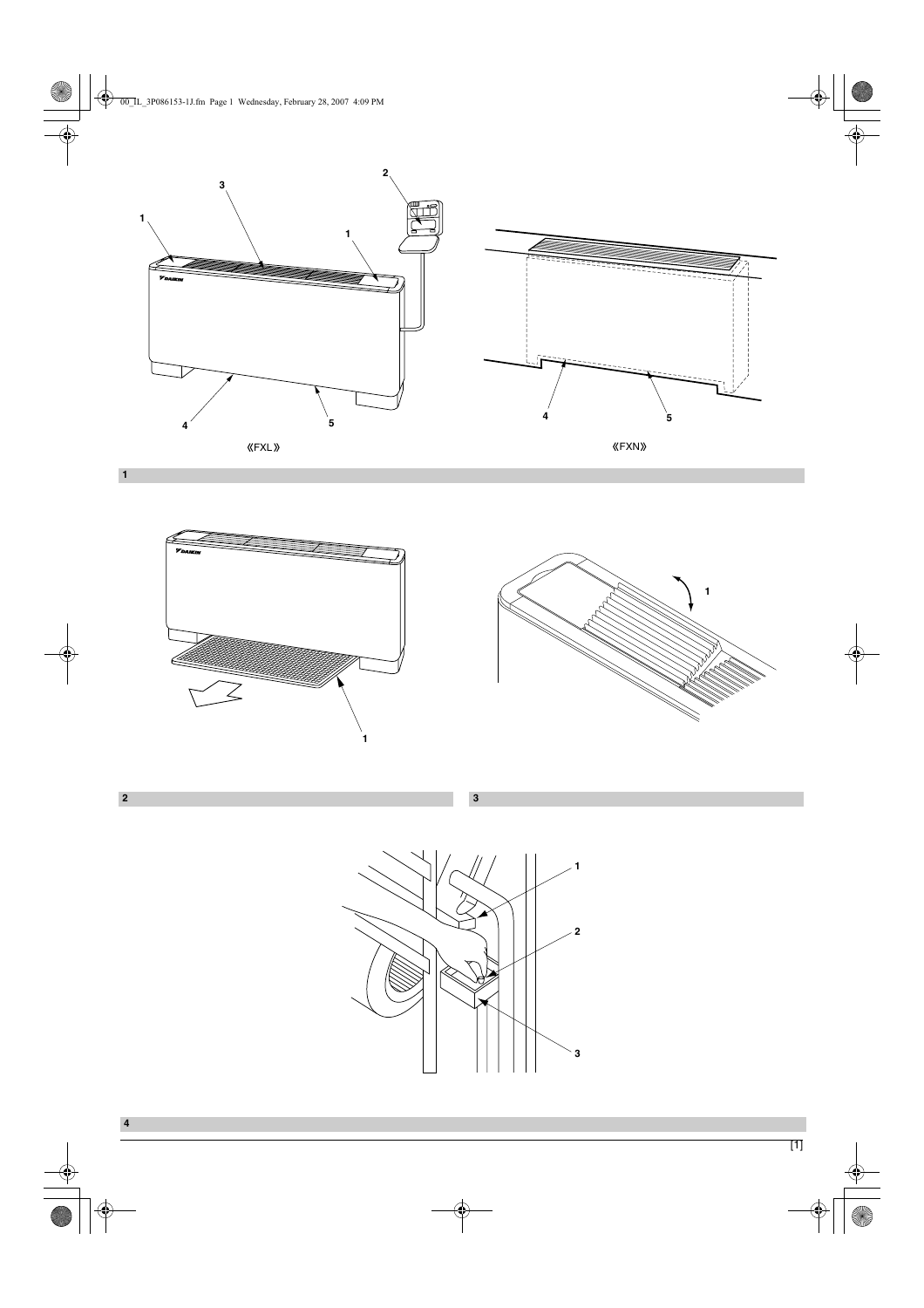







**3**

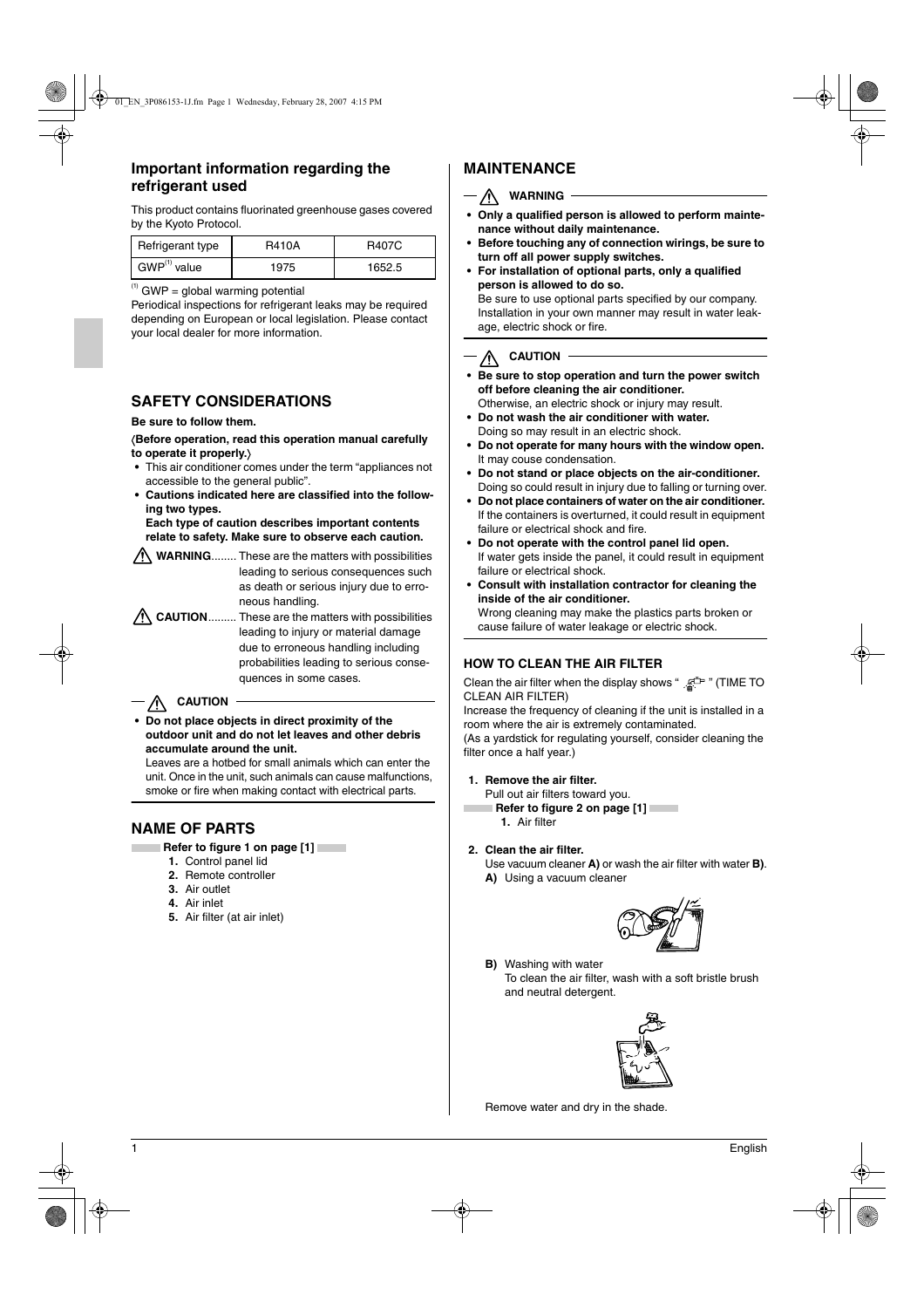# **Important information regarding the refrigerant used**

This product contains fluorinated greenhouse gases covered by the Kyoto Protocol.

| Refrigerant type           | <b>R410A</b> | <b>R407C</b> |
|----------------------------|--------------|--------------|
| $\mathsf{GWP}^{(1)}$ value | 1975         | 1652.5       |

 $<sup>(1)</sup>$  GWP = global warming potential</sup>

Periodical inspections for refrigerant leaks may be required depending on European or local legislation. Please contact your local dealer for more information.

# **SAFETY CONSIDERATIONS**

#### **Be sure to follow them.**

〈**Before operation, read this operation manual carefully to operate it properly.**〉

- **•** This air conditioner comes under the term "appliances not accessible to the general public".
- **Cautions indicated here are classified into the following two types.**

**Each type of caution describes important contents relate to safety. Make sure to observe each caution.**

WARNING........ These are the matters with possibilities leading to serious consequences such as death or serious injury due to erroneous handling.

**CAUTION**......... These are the matters with possibilities leading to injury or material damage due to erroneous handling including probabilities leading to serious consequences in some cases.

# $-\bigwedge$  CAUTION

**• Do not place objects in direct proximity of the outdoor unit and do not let leaves and other debris accumulate around the unit.**

Leaves are a hotbed for small animals which can enter the unit. Once in the unit, such animals can cause malfunctions, smoke or fire when making contact with electrical parts.

# **NAME OF PARTS**

- **Refer to figure 1 on page [1]** 
	- **1.** Control panel lid
	- **2.** Remote controller
	- **3.** Air outlet
	- **4.** Air inlet
	- **5.** Air filter (at air inlet)

# **MAINTENANCE**

## - **/ WARNING**

- **Only a qualified person is allowed to perform maintenance without daily maintenance.**
- **Before touching any of connection wirings, be sure to turn off all power supply switches.**
- **For installation of optional parts, only a qualified person is allowed to do so.**

Be sure to use optional parts specified by our company. Installation in your own manner may result in water leakage, electric shock or fire.

# **AUTION**

- **Be sure to stop operation and turn the power switch off before cleaning the air conditioner.** Otherwise, an electric shock or injury may result.
- **Do not wash the air conditioner with water.** Doing so may result in an electric shock.
- **Do not operate for many hours with the window open.**  It may couse condensation.
- **Do not stand or place objects on the air-conditioner.** Doing so could result in injury due to falling or turning over.
- **Do not place containers of water on the air conditioner.**  If the containers is overturned, it could result in equipment failure or electrical shock and fire.
- **Do not operate with the control panel lid open.** If water gets inside the panel, it could result in equipment failure or electrical shock.
- **Consult with installation contractor for cleaning the inside of the air conditioner.** Wrong cleaning may make the plastics parts broken or cause failure of water leakage or electric shock.

## **HOW TO CLEAN THE AIR FILTER**

Clean the air filter when the display shows " E<sup>t</sup> " (TIME TO CLEAN AIR FILTER)

Increase the frequency of cleaning if the unit is installed in a room where the air is extremely contaminated.

(As a yardstick for regulating yourself, consider cleaning the filter once a half year.)

#### **1. Remove the air filter.**

Pull out air filters toward you.  **Refer to figure 2 on page [1]** 

- **1.** Air filter
- **2. Clean the air filter.**

Use vacuum cleaner **A)** or wash the air filter with water **B)**.

**A)** Using a vacuum cleaner



**B)** Washing with water To clean the air filter, wash with a soft bristle brush and neutral detergent.



Remove water and dry in the shade.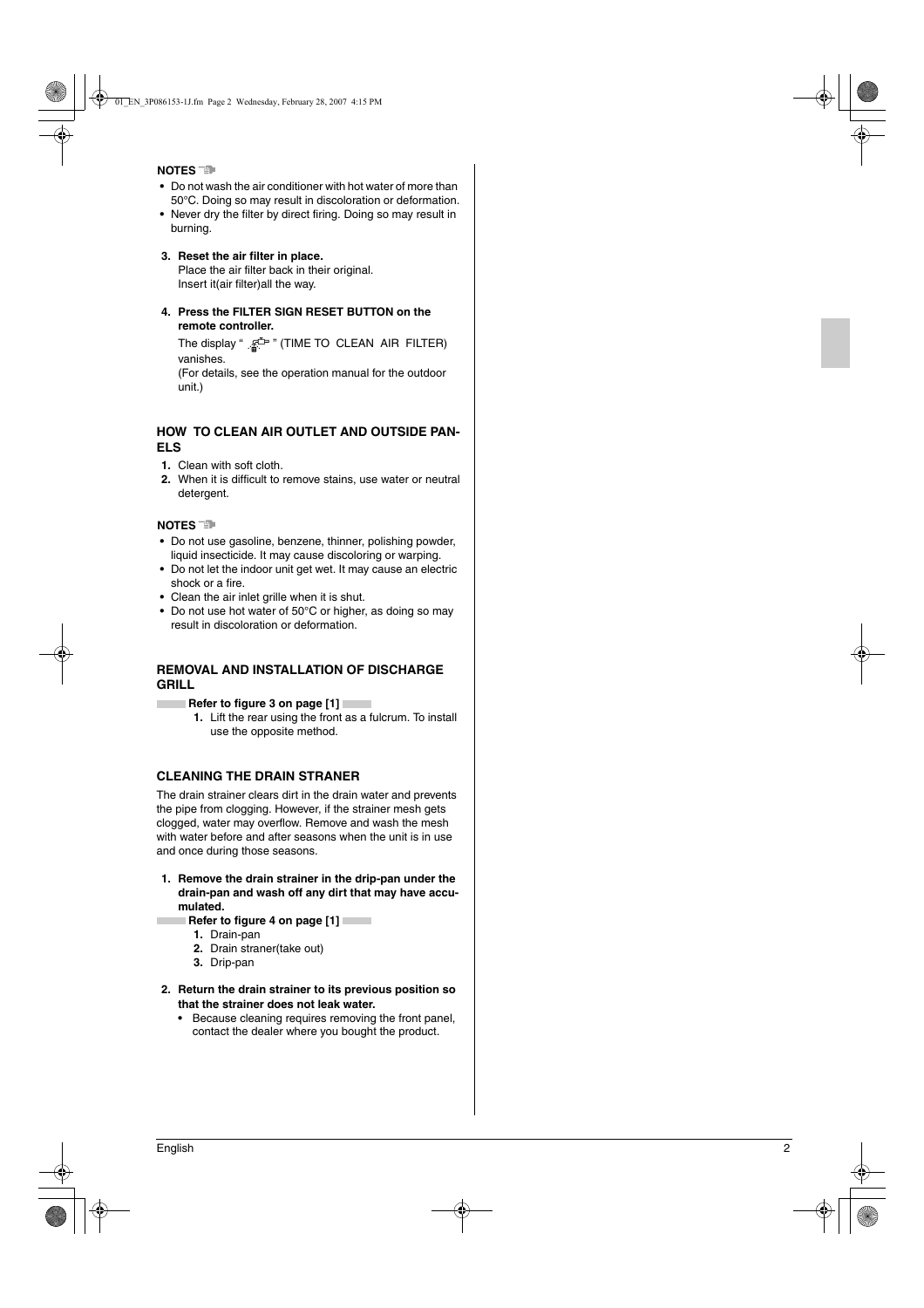#### **NOTES**

- **•** Do not wash the air conditioner with hot water of more than 50°C. Doing so may result in discoloration or deformation.
- **•** Never dry the filter by direct firing. Doing so may result in burning.
- **3. Reset the air filter in place.** Place the air filter back in their original. Insert it(air filter)all the way.
- **4. Press the FILTER SIGN RESET BUTTON on the remote controller.**

The display "  $\mathbb{R}^{\mathbb{Z}^m}$  " (TIME TO CLEAN AIR FILTER) vanishes.

(For details, see the operation manual for the outdoor unit.)

### **HOW TO CLEAN AIR OUTLET AND OUTSIDE PAN-ELS**

- **1.** Clean with soft cloth.
- **2.** When it is difficult to remove stains, use water or neutral detergent.

#### **NOTES**

**College** 

- **•** Do not use gasoline, benzene, thinner, polishing powder, liquid insecticide. It may cause discoloring or warping.
- **•** Do not let the indoor unit get wet. It may cause an electric shock or a fire.
- **•** Clean the air inlet grille when it is shut.
- **•** Do not use hot water of 50°C or higher, as doing so may result in discoloration or deformation.

#### **REMOVAL AND INSTALLATION OF DISCHARGE GRILL**

**Refer to figure 3 on page [1]** 

**1.** Lift the rear using the front as a fulcrum. To install use the opposite method.

#### **CLEANING THE DRAIN STRANER**

The drain strainer clears dirt in the drain water and prevents the pipe from clogging. However, if the strainer mesh gets clogged, water may overflow. Remove and wash the mesh with water before and after seasons when the unit is in use and once during those seasons.

- **1. Remove the drain strainer in the drip-pan under the drain-pan and wash off any dirt that may have accumulated.**
- **Refer to figure 4 on page [1]** 
	- **1.** Drain-pan
	- **2.** Drain straner(take out)
	- **3.** Drip-pan
- **2. Return the drain strainer to its previous position so that the strainer does not leak water.**
	- **•** Because cleaning requires removing the front panel, contact the dealer where you bought the product.